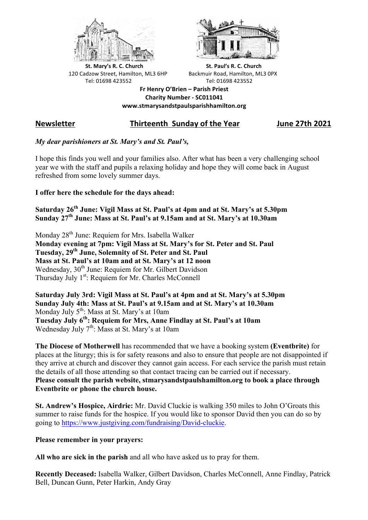



**St.** Mary's R. C. Church St. Paul's R. C. Church 120 Cadzow Street, Hamilton, ML3 6HP Backmuir Road, Hamilton, ML3 0PX Tel: 01698 423552 Tel: 01698 423552

**Fr Henry O'Brien – Parish Priest Charity Number - SC011041 www.stmarysandstpaulsparishhamilton.org**

# **Newsletter Thirteenth Sunday of the Year June 27th 2021**

# *My dear parishioners at St. Mary's and St. Paul's,*

I hope this finds you well and your families also. After what has been a very challenging school year we with the staff and pupils a relaxing holiday and hope they will come back in August refreshed from some lovely summer days.

## **I offer here the schedule for the days ahead:**

**Saturday 26th June: Vigil Mass at St. Paul's at 4pm and at St. Mary's at 5.30pm Sunday 27th June: Mass at St. Paul's at 9.15am and at St. Mary's at 10.30am**

Monday 28<sup>th</sup> June: Requiem for Mrs. Isabella Walker **Monday evening at 7pm: Vigil Mass at St. Mary's for St. Peter and St. Paul Tuesday, 29th June, Solemnity of St. Peter and St. Paul Mass at St. Paul's at 10am and at St. Mary's at 12 noon** Wednesday, 30<sup>th</sup> June: Requiem for Mr. Gilbert Davidson Thursday July  $1<sup>st</sup>$ : Requiem for Mr. Charles McConnell

**Saturday July 3rd: Vigil Mass at St. Paul's at 4pm and at St. Mary's at 5.30pm Sunday July 4th: Mass at St. Paul's at 9.15am and at St. Mary's at 10.30am** Monday July 5<sup>th</sup>: Mass at St. Mary's at 10am **Tuesday July 6th: Requiem for Mrs, Anne Findlay at St. Paul's at 10am** Wednesday July  $7<sup>th</sup>$ : Mass at St. Mary's at 10am

**The Diocese of Motherwell** has recommended that we have a booking system **(Eventbrite)** for places at the liturgy; this is for safety reasons and also to ensure that people are not disappointed if they arrive at church and discover they cannot gain access. For each service the parish must retain the details of all those attending so that contact tracing can be carried out if necessary. **Please consult the parish website, stmarysandstpaulshamilton.org to book a place through Eventbrite or phone the church house.**

**St. Andrew's Hospice, Airdrie:** Mr. David Cluckie is walking 350 miles to John O'Groats this summer to raise funds for the hospice. If you would like to sponsor David then you can do so by going to https://www.justgiving.com/fundraising/David-cluckie.

## **Please remember in your prayers:**

**All who are sick in the parish** and all who have asked us to pray for them.

**Recently Deceased:** Isabella Walker, Gilbert Davidson, Charles McConnell, Anne Findlay, Patrick Bell, Duncan Gunn, Peter Harkin, Andy Gray